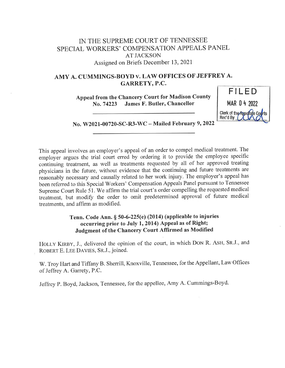# IN THE SUPREME COURT OF TENNESSEE SPECIAL WORKERS' COMPENSATION APPEALS PANEL AT JACKSON Assigned on Briefs December 13, 2021

## AMY A. CUMMINGS-BOYD v. LAW OFFICES OF JEFFREY A. GARRETY, P.C.

Appeal from the Chancery Court for Madison County No. 74223 James F. Butler, Chancellor



No. W2021-00720-SC-R3-WC — Mailed February 9, 2022

This appeal involves an employer's appeal of an order to compel medical treatment. The employer argues the trial court erred by ordering it to provide the employee specific continuing treatment, as well as treatments requested by all of her approved treating physicians in the future, without evidence that the continuing and future treatments are reasonably necessary and causally related to her work injury. The employer's appeal has been referred to this Special Workers' Compensation Appeals Panel pursuant to Tennessee Supreme Court Rule 51. We affirm the trial court's order compelling the requested medical treatment, but modify the order to omit predetermined approval of future medical treatments, and affirm as modified.

## Tenn. Code Ann. § 50-6-225(e) (2014) (applicable to injuries occurring prior to July 1, 2014) Appeal as of Right; Judgment of the Chancery Court Affirmed as Modified

HOLLY KIRBY, J., delivered the opinion of the court, in which DON R. ASH, SR.J., and ROBERT E. LEE DAVIES, SR.J., joined.

W. Troy Hart and Tiffany B. Sherrill, Knoxville, Tennessee, for the Appellant, Law Offices of Jeffrey A. Garrety, P.C.

Jeffrey P. Boyd, Jackson, Tennessee, for the appellee, Amy A. Cummings-Boyd.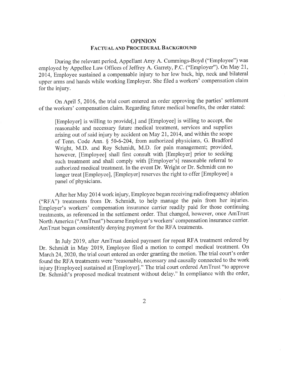### OPINION FACTUAL AND PROCEDURAL BACKGROUND

During the relevant period, Appellant Amy A. Cummings-Boyd ("Employee') was employed by Appellee Law Offices of Jeffrey A. Garrety, P.C. ("Employer"). On May 21, 2014, Employee sustained a compensable injury to her low back, hip, neck and bilateral upper arms and hands while working Ernployer. She filed a workers' compensation claim for the injury.

On April 5, 2016, the trial court entered an order approving the parties' settlement of the workers' compensation claim. Regarding future medical benefits, the order stated:

[Employer] is willing to provide[,] and [Employee] is willing to accept, the reasonable and necessary future rnedical treatment, services and supplies arising out of said injury by accident on May 21, 2014, and within the scope of Tenn. Code Ann. § 50-6-204, from authorized physicians, G. Bradford Wright, M.D. and Roy Schmidt, M.D. for pain management; provided, however, [Employee] shall first consult with [Employer] prior to seeking such treatment and shall comply with [Employer's] reasonable referral to authorized medical treatment. In the event Dr. Wright or Dr. Schmidt can no longer treat [Employee], [Employer] reserves the right to offer [Employee] <sup>a</sup> panel of physicians.

After her May 2014 work injury, Employee began receiving radiofrequency ablation ("RFA") treatments frorn Dr. Schmidt, to help manage the pain from her injuries. Employer's workers' compensation insurance carrier readily paid for those continuing treatments, as referenced in the settlement order. That changed, however, once AmTrust North America ("AmTrust") became Employer's workers' compensation insurance carrier. AmTrust began consistently denying payment for the RFA treatments.

In July 2019, after AmTrust denied payment for repeat RFA treatment ordered by Dr. Schmidt in May 2019, Employee filed a motion to compel medical treatment. On March 24, 2020, the trial court entered an order granting the motion. The trial court's order found the RFA treatments were "reasonable, necessary and causally connected to the work injury [Employee] sustained at [Employer]." The trial court ordered AmTrust "to approve Dr. Schmidt's proposed medical treatment without delay." In compliance with the order,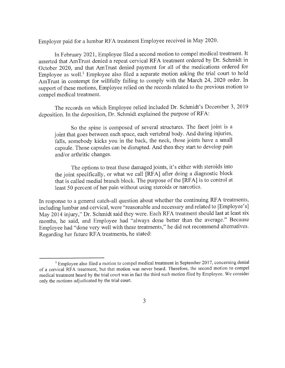Employer paid for a lumbar RFA treatment Employee received in May 2020.

In February 2021, Employee filed a second motion to compel medical treatment. It asserted that AmTrust denied a repeat cervical RFA treatment ordered by Dr. Schmidt in October 2020, and that AmTrust denied payment for all of the medications ordered for Employee as well.' Employee also filed a separate motion asking the trial court to hold AmTrust in contempt for willfully failing to comply with the March 24, 2020 order. In support of these motions, Employee relied on the records related to the previous rnotion to compel medical treatment.

The records on which Employee relied included Dr. Schmidt's December 3, <sup>2019</sup> deposition. In the deposition, Dr. Schmidt explained the purpose of RFA:

So the spine is composed of several structures. The facet joint is <sup>a</sup> joint that goes between each space, each vertebral body. And during injuries, falls, somebody kicks you in the back, the neck, those joints have a small capsule. Those capsules can be disrupted. And then they start to develop pain and/or arthritic changes.

The options to treat these damaged joints, it's either with steroids into the joint specifically, or what we call [RFA] after doing a diagnostic block that is called medial branch block. The purpose of the [RFA] is to control at least 50 percent of her pain without using steroids or narcotics.

In response to a general catch-all question about whether the continuing RFA treatments, including lumbar and cervical, were "reasonable and necessary and related to [Employee's] May 2014 injury," Dr. Schmidt said they were. Each RFA treatment should last at least six months, he said, and Employee had "always done better than the average." Because Employee had "done very well with these treatments," he did not recommend alternatives. Regarding her future RFA treatments, he stated:

<sup>&</sup>lt;sup>1</sup> Employee also filed a motion to compel medical treatment in September 2017, concerning denial of a cervical RFA treatment, but that motion was never heard. Therefore, the second motion to compel medical treatment heard by the trial court was in fact the third such motion filed by Ernployee. We consider only the rnotions adjudicated by the trial court.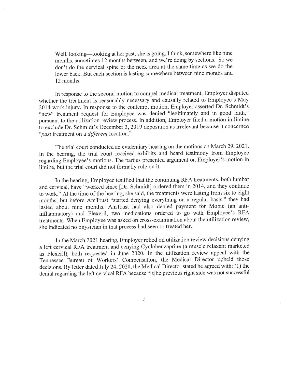Well, looking—looking at her past, she is going, I think, somewhere like nine months, sometimes 12 months between, and we're doing by sections. So we don't do the cervical spine or the neck area at the same time as we do the lower back. But each section is lasting somewhere between nine months and 12 months.

In response to the second motion to compel medical treatment, Employer disputed whether the treatment is reasonably necessary and causally related to Employee's May 2014 work injury. In response to the contempt motion, Employer asserted Dr. Schmidt's "new" treatment request for Employee was denied "legitimately and in good faith," pursuant to the utilization review process. In addition, Employer filed a motion in limine to exclude Dr. Schmidt's December 3, 2019 deposition as irrelevant because it concerned "*past* treatment on a *different* location."

The trial court conducted an evidentiary hearing on the motions on March 29, 2021. In the hearing, the trial court received exhibits and heard testimony from Employee regarding Employee's motions. The parties presented argument on Employer's motion in limine, but the trial court did not formally rule on it.

In the hearing, Employee testified that the continuing RFA treatments, both lumbar and cervical, have "worked since [Dr. Schmidt] ordered them in 2014, and they continue to work." At the time of the hearing, she said, the treatments were lasting from six to eight months, but before AmTrust "started denying everything on a regular basis," they had lasted about nine months. AmTrust had also denied payment for Mobic (an antiinflammatory) and Flexeril, two medications ordered to go with Employee's RFA treatments. When Employee was asked on cross-examination about the utilization review, she indicated no physician in that process had seen or treated her.

In the March 2021 hearing, Employer relied on utilization review decisions denying <sup>a</sup>left cervical RFA treatment and denying Cyclobenzaprine (a muscle relaxant marketed as Flexeril), both requested in June 2020. In the utilization review appeal with the Tennessee Bureau of Workers' Compensation, the Medical Director upheld those decisions. By letter dated July 24, 2020, the Medical Director stated he agreed with: (1) the denial regarding the left cervical RFA because "[t]he previous right side was not successful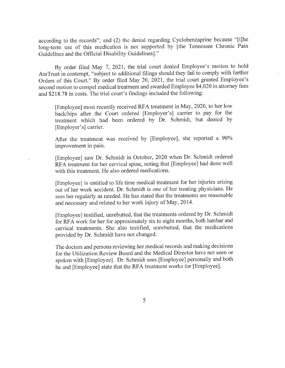according to the records"; and (2) the denial regarding Cyclobenzaprine because "[t]he long-term use of this medication is not supported by [the Tennessee Chronic Pain Guidelines and the Official Disability Guidelines]."

By order filed May 7, 2021, the trial court denied Employee's motion to hold AmTrust in contempt, "subject to additional filings should they fail to comply with further Orders of this Court." By order filed May 20, 2021, the trial court granted Employee's second motion to compel medical treatment and awarded Employee \$4,020 in attorney fees and \$218.78 in costs. The trial court's findings included the following:

[Employee] most recently received RFA treatment in May, 2020, to her low back/hips after the Court ordered [Employer's] carrier to pay for the treatment which had been ordered by Dr. Schmidt, but denied by [Employer's] carrier.

After the treatment was received by [Employee], she reported a 90% improvement in pain.

[Employee] saw Dr. Schmidt in October, 2020 when Dr. Schmidt ordered RFA treatment for her cervical spine, noting that [Employee] had done well with this treatment. He also ordered medications.

[Employee] is entitled to life time medical treatment for her injuries arising out of her work accident. Dr. Schmidt is one of her treating physicians. He sees her regularly as needed. He has stated that the treatments are reasonable and necessary and related to her work injury of May, 2014.

[Employee] testified, unrebutted, that the treatments ordered by Dr. Schmidt for RFA work for her for approximately six to eight months, both lumbar and cervical treatments. She also testified, unrebutted, that the medications provided by Dr. Schmidt have not changed.

The doctors and persons reviewing her medical records and making decisions for the Utilization Review Board and the Medical Director have not seen or spoken with [Employee]. Dr. Schmidt sees [Employee] personally and both he and [Employee] state that the RFA treatment works for [Employee].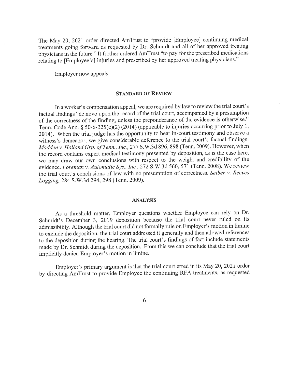The May 20, 2021 order directed AmTrust to "provide [Employee] continuing medical treatments going forward as requested by Dr. Schmidt and all of her approved treating physicians in the future." It further ordered AmTrust "to pay for the prescribed medications relating to [Employee's] injuries and prescribed by her approved treating physicians."

Ernployer now appeals.

### STANDARD OF REVIEW

In a worker's compensation appeal, we are required by law to review the trial court's factual findings "de novo upon the record of the trial court, accompanied by a presumption of the correctness of the finding, unless the preponderance of the evidence is otherwise." Tenn. Code Ann. § 50-6-225(e)(2) (2014) (applicable to injuries occurring prior to July 1, 2014). When the trial judge has the opportunity to hear in-court testimony and observe <sup>a</sup> witness's demeanor, we give considerable deference to the trial court's factual findings. Madden v. Holland Grp. of Tenn., Inc., 277 S.W.3d 896, 898 (Tenn. 2009). However, when the record contains expert medical testimony presented by deposition, as is the case here, we may draw our own conclusions with respect to the weight and credibility of the evidence. Foreman v. Automatic Sys., Inc., 272 S.W.3d 560, 571 (Tenn. 2008). We review the trial court's conclusions of law with no presumption of correctness. Seiber v. Reeves Logging, 284 S.W.3d 294, 298 (Tenn. 2009).

#### ANALYSIS

As a threshold matter, Ernployer questions whether Employee can rely on Dr. Schmidt's December 3, 2019 deposition because the trial court never ruled on its admissibility. Although the trial court did not formally rule on Employer's motion in limine to exclude the deposition, the trial court addressed it generally and then allowed references to the deposition during the hearing. The trial court's findings of fact include statements made by Dr. Schmidt during the deposition. From this we can conclude that the trial court implicitly denied Employer's motion in limine.

Employer's primary argument is that the trial court erred in its May 20, 2021 order by directing AmTrust to provide Employee the continuing RFA treatments, as requested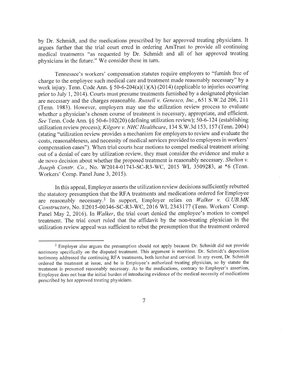by Dr. Schmidt, and the medications prescribed by her approved treating physicians. It argues further that the trial court erred in ordering AmTrust to provide all continuing medical treatments "as requested by Dr. Schmidt and all of her approved treating physicians in the future." We consider these in turn.

Tennessee's workers' compensation statutes require employers to "furnish free of charge to the employee such medical care and treatment made reasonably necessary" by a work injury. Tenn. Code Ann. § 50-6-204(a)(1)(A) (2014) (applicable to injuries occurring prior to July 1, 2014). Courts must presume treatments furnished by a designated physician are necessary and the charges reasonable. Russell v. Genesco, Inc., 651 S.W.2d 206, <sup>211</sup> (Tenn. 1983). However, employers may use the utilization review process to evaluate whether a physician's chosen course of treatment is necessary, appropriate, and efficient. See Tenn. Code Ann. §§ 50-6-102(20) (defining utilization review); 50-6-124 (establishing utilization review process); Kilgore v. NHC Healthcare, 134 S.W.3d 153, 157 (Tenn. 2004) (stating "utilization review provides a mechanism for employers to review and evaluate the costs, reasonableness, and necessity of medical services provided to employees in workers' compensation cases"). When trial courts hear motions to compel medical treatment arising out of a denial of care by utilization review, they must consider the evidence and make <sup>a</sup> de novo decision about whether the proposed treatment is reasonably necessary. Shelton v. Joseph Constr. Co., No. W2014-01743-SC-R3-WC, 2015 WL 3509283, at \*6 (Tenn. Workers' Comp. Panel June 3, 2015).

In this appeal, Employer asserts the utilization review decisions sufficiently rebutted the statutory presumption that the RFA treatments and medications ordered for Employee are reasonably necessary.<sup>2</sup> In support, Employer relies on Walker v. G. UB.MK Constructors, No. E2015-00346-SC-R3-WC, 2016 WL 2343177 (Tenn. Workers' Comp. Panel May 2, 2016). In Walker, the trial court denied the employee's motion to compel treatment. The trial court ruled that the affidavit by the non-treating physician in the utilization review appeal was sufficient to rebut the presumption that the treatment ordered

<sup>&</sup>lt;sup>2</sup> Employer also argues the presumption should not apply because Dr. Schmidt did not provide testimony specifically on the disputed treatment. This argument is meritless. Dr. Schmidt's deposition testimony addressed the continuing RFA treatments, both lumbar and cervical. In any event, Dr. Schmidt ordered the treatment at issue, and he is Employee's authorized treating physician, so by statute the treatment is presumed reasonably necessary. As to the medications, contrary to Employer's assertion, Employee does not bear the initial burden of introducing evidence of the medical necessity of medications prescribed by her approved treating physicians.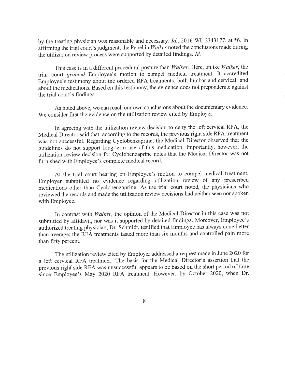by the treating physician was reasonable and necessary. Id., 2016 WL 2343177, at \*6. In affirming the trial court's judgment, the Panel in Walker noted the conclusions made during the utilization review process were supported by detailed findings. Id.

This case is in a different procedural posture than Walker. Here, unlike Walker, the trial court granted Employee's motion to compel medical treatment. It accredited Employee's testimony about the ordered RFA treatments, both lumbar and cervical, and about the medications. Based on this testimony, the evidence does not preponderate against the trial court's findings.

As noted above, we can reach our own conclusions about the documentary evidence. We consider first the evidence on the utilization review cited by Employer.

In agreeing with the utilization review decision to deny the left cervical RFA, the Medical Director said that, according to the records, the previous right side RFA treatment was not successful. Regarding Cyclobenzaprine, the Medical Director observed that the guidelines do not support long-term use of this medication. Importantly, however, the utilization review decision for Cyclobenzaprine notes that the Medical Director was not furnished with Employee's complete medical record.

At the trial court hearing on Employee's motion to compel medical treatment, Employer submitted no evidence regarding utilization review of any prescribed medications other than Cyclobenzaprine. As the trial court noted, the physicians who reviewed the records and made the utilization review decisions had neither seen nor spoken with Employee.

In contrast with Walker, the opinion of the Medical Director in this case was not submitted by affidavit, nor was it supported by detailed findings. Moreover, Employee's authorized treating physician, Dr. Schmidt, testified that Employee has always done better than average; the RFA treatments lasted more than six months and controlled pain more than fifty percent.

The utilization review cited by Employer addressed a request made in June 2020 for <sup>a</sup>left cervical RFA treatment. The basis for the Medical Director's assertion that the previous right side RFA was unsuccessful appears to be based on the short period of time since Employee's May 2020 RFA treatment. However, by October 2020, when Dr.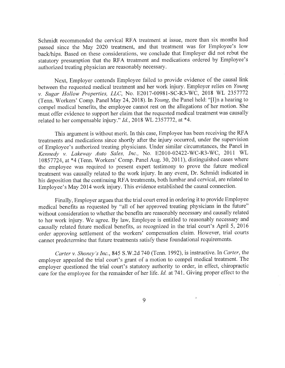Schmidt recommended the cervical RFA treatment at issue, more than six months had passed since the May 2020 treatrnent, and that treatment was for Employee's low back/hips. Based on these considerations, we conclude that Employer did not rebut the statutory presumption that the RFA treatment and medications ordered by Employee's authorized treating physician are reasonably necessary.

Next, Employer contends Employee failed to provide evidence of the causal link between the requested medical treatment and her work injury. Employer relies on Young v. Sugar Hollow Properties, LLC, No. E2017-00981-SC-R3-WC, 2018 WL <sup>2357772</sup> (Tenn. Workers' Comp. Panel May 24, 2018). In Young, the Panel held: "[I]n a hearing to compel medical benefits, the employee cannot rest on the allegations of her motion. She must offer evidence to support her claim that the requested medical treatment was causally related to her compensable injury." Id., 2018 WL 2357772, at \*4.

This argument is without merit. In this case, Employee has been receiving the RFA treatments and rnedications since shortly after the injury occurred, under the supervision of Employee's authorized treating physicians. Under similar circumstances, the Panel in Kennedy v. Lakeway Auto Sales, Inc., No. E2010-02422-WC-R3-WC, 2011 WL 10857724, at \*4 (Tenn. Workers' Comp. Panel Aug. 30, 2011), distinguished cases where the employee was required to present expert testimony to prove the future medical treatment was causally related to the work injury. In any event, Dr. Schmidt indicated in his deposition that the continuing RFA treatments, both lumbar and cervical, are related to Employee's May 2014 work injury. This evidence established the causal connection.

Finally, Employer argues that the trial court erred in ordering it to provide Employee medical benefits as requested by "all of her approved treating physicians in the future" without consideration to whether the benefits are reasonably necessary and causally related to her work injury. We agree. By law, Employee is entitled to reasonably necessary and causally related future medical benefits, as recognized in the trial court's April 5, <sup>2016</sup> order approving settlement of the workers' compensation claim. However, trial courts cannot predetermine that future treatments satisfy these foundational requirements.

Carter v. Shoney's Inc., 845 S.W.2d 740 (Tenn. 1992), is instructive. In Carter, the employer appealed the trial court's grant of a motion to compel medical treatment. The employer questioned the trial court's statutory authority to order, in effect, chiropractic care for the employee for the rernainder of her life. Id. at 741. Giving proper effect to the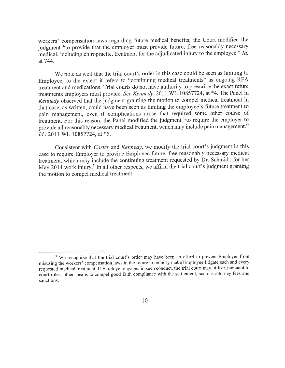workers' compensation laws regarding future medical benefits, the Court modified the judgment "to provide that the employer must provide future, free reasonably necessary medical, including chiropractic, treatment for the adjudicated injury to the employee." Id. at 744.

We note as well that the trial court's order in this case could be seen as limiting to Employee, to the extent it refers to "continuing medical treatments" as ongoing RFA treatment and medications. Trial courts do not have authority to prescribe the exact future treatments employers must provide. See Kennedy, 2011 WL 10857724, at \*4. The Panel in Kennedy observed that the judgment granting the motion to compel medical treatment in that case, as written, could have been seen as limiting the employee's future treatment to pain management, even if complications arose that required some other course of treatment. For this reason, the Panel modified the judgment "to require the employer to provide all reasonably necessary medical treatment, which may include pain management." Id., 2011 WL 10857724, at \*5.

Consistent with Carter and Kennedy, we modify the trial court's judgment in this case to require Employer to provide Employee future, free reasonably necessary medical treatment, which may include the continuing treatment requested by Dr. Schmidt, for her May 2014 work injury.<sup>3</sup> In all other respects, we affirm the trial court's judgment granting the motion to compel medical treatment.

<sup>&</sup>lt;sup>3</sup> We recognize that the trial court's order may have been an effort to prevent Employer from misusing the workers' compensation laws in the future to unfairly make Employee litigate each and every requested medical treatment. If Employer engages in such conduct, the trial court may utilize, pursuant to court rules, other means to compel good faith compliance with the settlement, such as attorney fees and sanctions.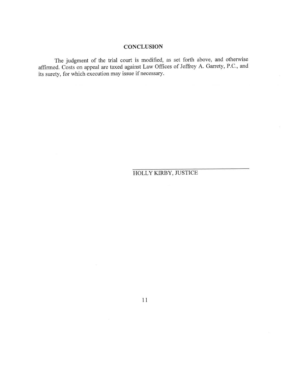## **CONCLUSION**

The judgment of the trial court is modified, as set forth above, and otherwise affirmed. Costs on appeal are taxed against Law Offices of Jeffrey A. Garrety, P.C., and its surety, for which execution may issue if necessary.

HOLLY KIRBY, JUSTICE